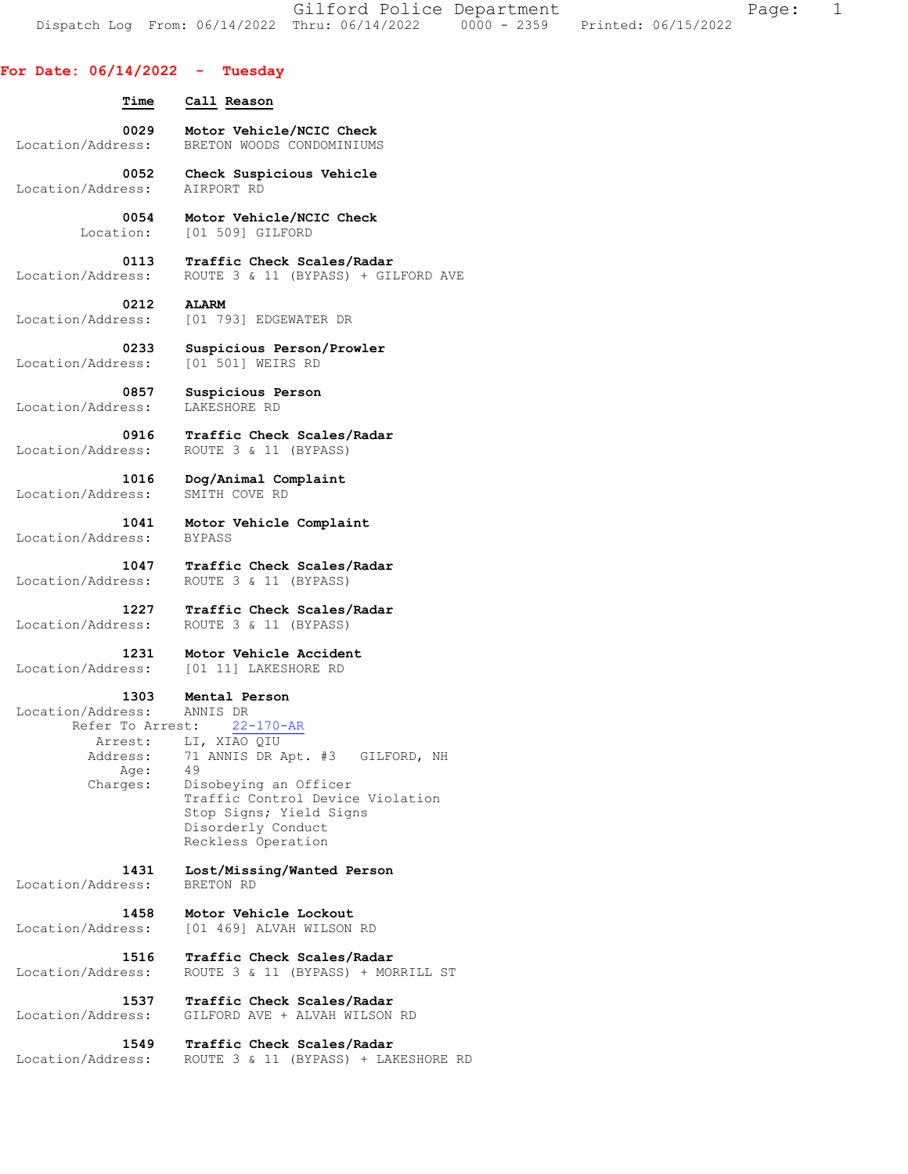Gilford Police Department The Page: 1 Dispatch Log From: 06/14/2022 Thru: 06/14/2022 0000 - 2359 Printed: 06/15/2022

## **For Date: 06/14/2022 - Tuesday**

| Time                                                        | Call Reason                                                                                                                                                         |
|-------------------------------------------------------------|---------------------------------------------------------------------------------------------------------------------------------------------------------------------|
| 0029                                                        | Motor Vehicle/NCIC Check                                                                                                                                            |
| Location/Address:                                           | BRETON WOODS CONDOMINIUMS                                                                                                                                           |
| 0052                                                        | Check Suspicious Vehicle                                                                                                                                            |
| Location/Address:                                           | AIRPORT RD                                                                                                                                                          |
| 0054                                                        | Motor Vehicle/NCIC Check                                                                                                                                            |
| Location:                                                   | [01 509] GILFORD                                                                                                                                                    |
| 0113                                                        | Traffic Check Scales/Radar                                                                                                                                          |
| Location/Address:                                           | ROUTE 3 & 11 (BYPASS) + GILFORD AVE                                                                                                                                 |
| 0212                                                        | <b>ALARM</b>                                                                                                                                                        |
| Location/Address:                                           | [01 793] EDGEWATER DR                                                                                                                                               |
| 0233                                                        | Suspicious Person/Prowler                                                                                                                                           |
| Location/Address:                                           | [01 501] WEIRS RD                                                                                                                                                   |
| 0857                                                        | Suspicious Person                                                                                                                                                   |
| Location/Address:                                           | LAKESHORE RD                                                                                                                                                        |
| 0916                                                        | Traffic Check Scales/Radar                                                                                                                                          |
| Location/Address:                                           | ROUTE 3 & 11 (BYPASS)                                                                                                                                               |
| 1016                                                        | Dog/Animal Complaint                                                                                                                                                |
| Location/Address:                                           | SMITH COVE RD                                                                                                                                                       |
| 1041                                                        | Motor Vehicle Complaint                                                                                                                                             |
| Location/Address:                                           | <b>BYPASS</b>                                                                                                                                                       |
| 1047<br>Location/Address:                                   | Traffic Check Scales/Radar<br>ROUTE 3 & 11 (BYPASS)                                                                                                                 |
| 1227                                                        | Traffic Check Scales/Radar                                                                                                                                          |
| Location/Address:                                           | ROUTE 3 & 11 (BYPASS)                                                                                                                                               |
| 1231                                                        | Motor Vehicle Accident                                                                                                                                              |
| Location/Address:                                           | [01 11] LAKESHORE RD                                                                                                                                                |
| 1303                                                        | Mental Person                                                                                                                                                       |
| Location/Address:                                           | ANNIS DR                                                                                                                                                            |
| Refer To Arrest:<br>Arrest:<br>Address:<br>Age:<br>Charges: | $22 - 170 - AR$<br>LI, XIAO QIU<br>71 ANNIS DR Apt. #3<br>GILFORD, NH<br>49<br>Disobeying an Officer<br>Traffic Control Device Violation<br>Stop Signs; Yield Signs |
|                                                             | Disorderly Conduct<br>Reckless Operation                                                                                                                            |
| 1431                                                        | Lost/Missing/Wanted Person                                                                                                                                          |
| Location/Address:                                           | BRETON RD                                                                                                                                                           |
| 1458                                                        | Motor Vehicle Lockout                                                                                                                                               |
| Location/Address:                                           | [01 469] ALVAH WILSON RD                                                                                                                                            |
| 1516                                                        | Traffic Check Scales/Radar                                                                                                                                          |
| Location/Address:                                           | ROUTE 3 & 11 (BYPASS) + MORRILL ST                                                                                                                                  |
| 1537                                                        | Traffic Check Scales/Radar                                                                                                                                          |
| Location/Address:                                           | GILFORD AVE + ALVAH WILSON RD                                                                                                                                       |
| 1549                                                        | Traffic Check Scales/Radar                                                                                                                                          |

Location/Address: ROUTE 3 & 11 (BYPASS) + LAKESHORE RD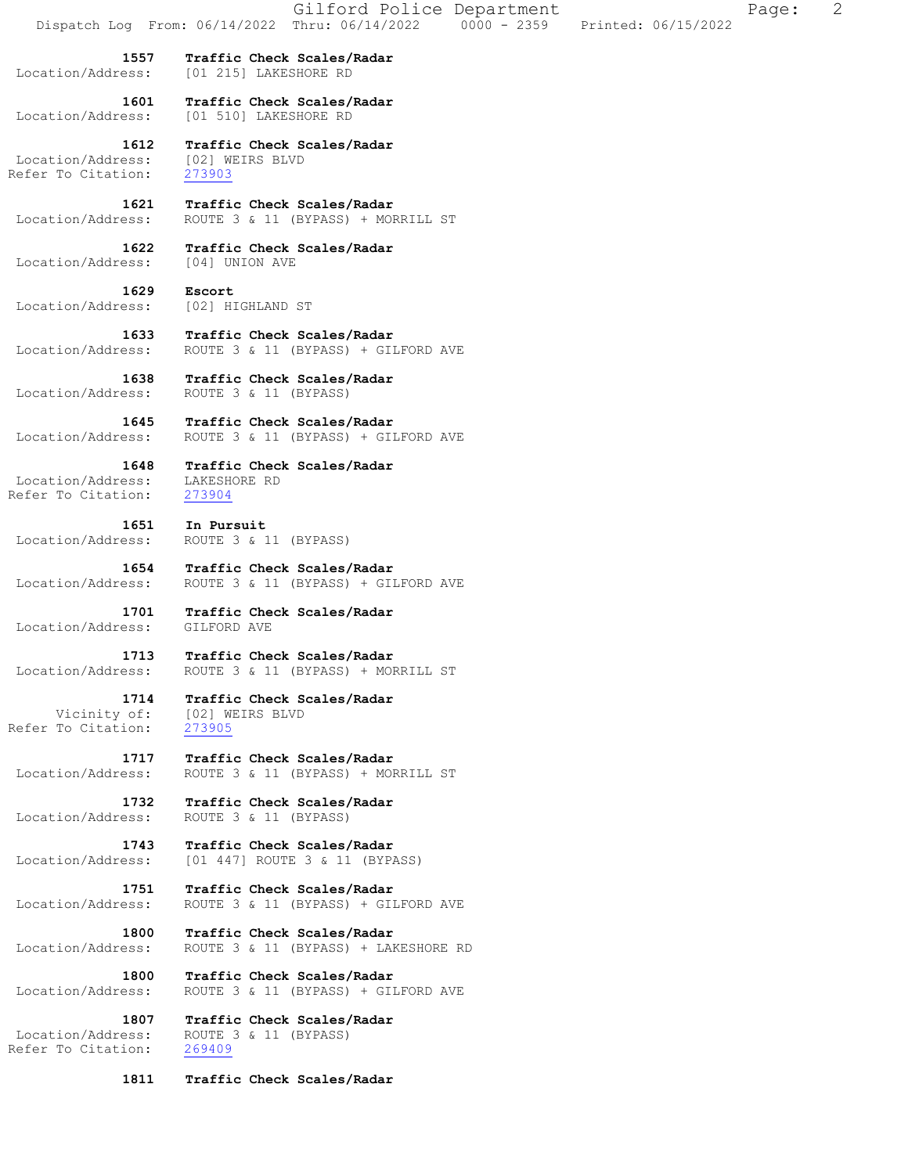|                                                 | Dispatch Log From: 06/14/2022       | Gilford Police Department<br>Thru: 06/14/2022                      | $0000 - 2359$ | Printed: 06/15/2022 | Page: | 2 |
|-------------------------------------------------|-------------------------------------|--------------------------------------------------------------------|---------------|---------------------|-------|---|
| 1557<br>Location/Address:                       | [01 215] LAKESHORE RD               | Traffic Check Scales/Radar                                         |               |                     |       |   |
| 1601<br>Location/Address:                       | [01 510] LAKESHORE RD               | Traffic Check Scales/Radar                                         |               |                     |       |   |
| 1612<br>Location/Address:<br>Refer To Citation: | [02] WEIRS BLVD<br>273903           | Traffic Check Scales/Radar                                         |               |                     |       |   |
| 1621<br>Location/Address:                       |                                     | Traffic Check Scales/Radar<br>ROUTE 3 & 11 (BYPASS) + MORRILL ST   |               |                     |       |   |
| 1622<br>Location/Address:                       | [04] UNION AVE                      | Traffic Check Scales/Radar                                         |               |                     |       |   |
| 1629<br>Location/Address:                       | Escort<br>[02] HIGHLAND ST          |                                                                    |               |                     |       |   |
| 1633<br>Location/Address:                       |                                     | Traffic Check Scales/Radar<br>ROUTE 3 & 11 (BYPASS) + GILFORD AVE  |               |                     |       |   |
| 1638<br>Location/Address:                       | ROUTE 3 & 11 (BYPASS)               | Traffic Check Scales/Radar                                         |               |                     |       |   |
| 1645<br>Location/Address:                       |                                     | Traffic Check Scales/Radar<br>ROUTE 3 & 11 (BYPASS) + GILFORD AVE  |               |                     |       |   |
| 1648<br>Location/Address:<br>Refer To Citation: | LAKESHORE RD<br>273904              | Traffic Check Scales/Radar                                         |               |                     |       |   |
| 1651<br>Location/Address:                       | In Pursuit<br>ROUTE 3 & 11 (BYPASS) |                                                                    |               |                     |       |   |
| 1654<br>Location/Address:                       |                                     | Traffic Check Scales/Radar<br>ROUTE 3 & 11 (BYPASS) + GILFORD AVE  |               |                     |       |   |
| 1701<br>Location/Address:                       | GILFORD AVE                         | Traffic Check Scales/Radar                                         |               |                     |       |   |
| 1713<br>Location/Address:                       |                                     | Traffic Check Scales/Radar<br>ROUTE 3 & 11 (BYPASS) + MORRILL ST   |               |                     |       |   |
| 1714<br>Vicinity of:<br>Refer To Citation:      | [02] WEIRS BLVD<br>273905           | Traffic Check Scales/Radar                                         |               |                     |       |   |
| 1717<br>Location/Address:                       |                                     | Traffic Check Scales/Radar<br>ROUTE 3 & 11 (BYPASS) + MORRILL ST   |               |                     |       |   |
| 1732<br>Location/Address:                       | ROUTE 3 & 11 (BYPASS)               | Traffic Check Scales/Radar                                         |               |                     |       |   |
| 1743<br>Location/Address:                       |                                     | Traffic Check Scales/Radar<br>[01 447] ROUTE 3 & 11 (BYPASS)       |               |                     |       |   |
| 1751<br>Location/Address:                       |                                     | Traffic Check Scales/Radar<br>ROUTE 3 & 11 (BYPASS) + GILFORD AVE  |               |                     |       |   |
| 1800<br>Location/Address:                       |                                     | Traffic Check Scales/Radar<br>ROUTE 3 & 11 (BYPASS) + LAKESHORE RD |               |                     |       |   |
| 1800<br>Location/Address:                       |                                     | Traffic Check Scales/Radar<br>ROUTE 3 & 11 (BYPASS) + GILFORD AVE  |               |                     |       |   |
| 1807                                            |                                     | Traffic Check Scales/Radar                                         |               |                     |       |   |

 Location/Address: ROUTE 3 & 11 (BYPASS) Refer To Citation: 269409

 **1811 Traffic Check Scales/Radar**